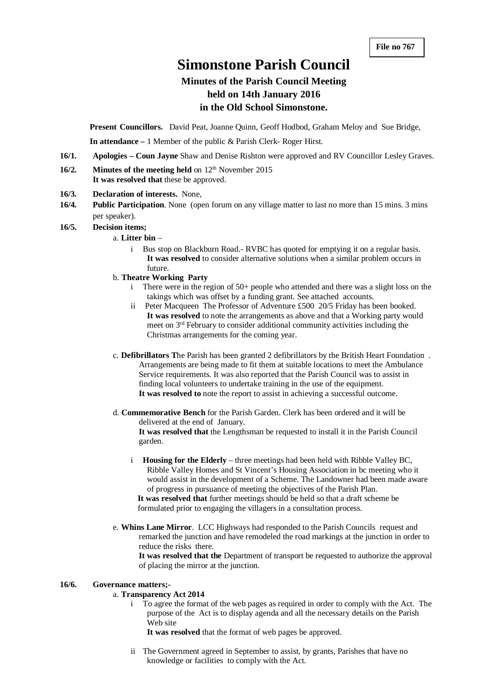# **Simonstone Parish Council**

# **Minutes of the Parish Council Meeting held on 14th January 2016 in the Old School Simonstone.**

**Present Councillors.** David Peat, Joanne Quinn, Geoff Hodbod, Graham Meloy and Sue Bridge,

**In attendance –** 1 Member of the public & Parish Clerk- Roger Hirst.

- **16/1. Apologies – Coun Jayne** Shaw and Denise Rishton were approved and RV Councillor Lesley Graves.
- **16/2. Minutes of the meeting held** on 12<sup>th</sup> November 2015 **It was resolved that** these be approved.
- **16/3. Declaration of interests.** None,
- **16/4. Public Participation**. None (open forum on any village matter to last no more than 15 mins. 3 mins per speaker).

#### **16/5. Decision items;**

- a. **Litter bin**
	- i Bus stop on Blackburn Road.- RVBC has quoted for emptying it on a regular basis. **It was resolved** to consider alternative solutions when a similar problem occurs in future.
- b. **Theatre Working Party**
	- i There were in the region of 50+ people who attended and there was a slight loss on the takings which was offset by a funding grant. See attached accounts.
	- ii Peter Macqueen The Professor of Adventure £500 20/5 Friday has been booked. **It was resolved** to note the arrangements as above and that a Working party would meet on 3rd February to consider additional community activities including the Christmas arrangements for the coming year.
- c. **Defibrillators T**he Parish has been granted 2 defibrillators by the British Heart Foundation . Arrangements are being made to fit them at suitable locations to meet the Ambulance Service requirements. It was also reported that the Parish Council was to assist in finding local volunteers to undertake training in the use of the equipment. **It was resolved to** note the report to assist in achieving a successful outcome.
- d. **Commemorative Bench** for the Parish Garden. Clerk has been ordered and it will be delivered at the end of January.

**It was resolved that** the Lengthsman be requested to install it in the Parish Council garden.

- i **Housing for the Elderly** three meetings had been held with Ribble Valley BC, Ribble Valley Homes and St Vincent's Housing Association in bc meeting who it would assist in the development of a Scheme. The Landowner had been made aware of progress in pursuance of meeting the objectives of the Parish Plan. **It was resolved that** further meetings should be held so that a draft scheme be formulated prior to engaging the villagers in a consultation process.
- e. **Whins Lane Mirror**. LCC Highways had responded to the Parish Councils request and remarked the junction and have remodeled the road markings at the junction in order to reduce the risks there.

**It was resolved that the** Department of transport be requested to authorize the approval of placing the mirror at the junction.

# **16/6. Governance matters;-**

# a. **Transparency Act 2014**

i To agree the format of the web pages as required in order to comply with the Act. The purpose of the Act is to display agenda and all the necessary details on the Parish Web site

**It was resolved** that the format of web pages be approved.

ii The Government agreed in September to assist, by grants, Parishes that have no knowledge or facilities to comply with the Act.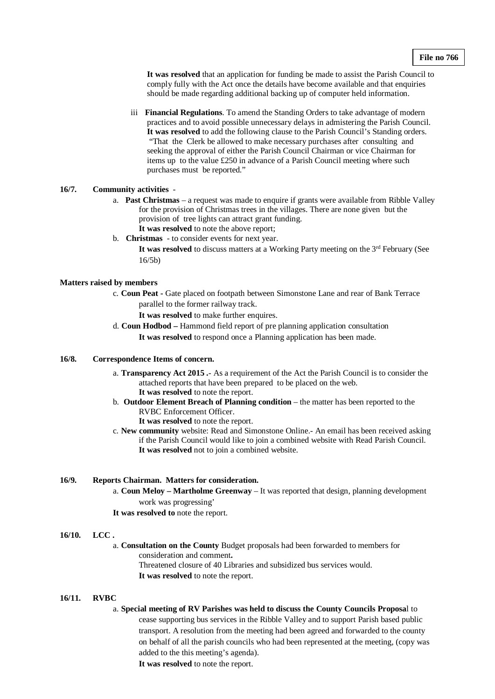**It was resolved** that an application for funding be made to assist the Parish Council to comply fully with the Act once the details have become available and that enquiries should be made regarding additional backing up of computer held information.

iii **Financial Regulations**. To amend the Standing Orders to take advantage of modern practices and to avoid possible unnecessary delays in admistering the Parish Council. **It was resolved** to add the following clause to the Parish Council's Standing orders. "That the Clerk be allowed to make necessary purchases after consulting and seeking the approval of either the Parish Council Chairman or vice Chairman for items up to the value £250 in advance of a Parish Council meeting where such purchases must be reported."

# **16/7. Community activities** -

- a. **Past Christmas** a request was made to enquire if grants were available from Ribble Valley for the provision of Christmas trees in the villages. There are none given but the provision of tree lights can attract grant funding. **It was resolved** to note the above report;
- b. **Christmas** to consider events for next year.

It was resolved to discuss matters at a Working Party meeting on the 3<sup>rd</sup> February (See 16/5b)

#### **Matters raised by members**

c. **Coun Peat -** Gate placed on footpath between Simonstone Lane and rear of Bank Terrace parallel to the former railway track.

**It was resolved** to make further enquires.

d. **Coun Hodbod –** Hammond field report of pre planning application consultation **It was resolved** to respond once a Planning application has been made.

#### **16/8. Correspondence Items of concern.**

- a. **Transparency Act 2015 .** As a requirement of the Act the Parish Council is to consider the attached reports that have been prepared to be placed on the web. **It was resolved** to note the report.
- b. **Outdoor Element Breach of Planning condition** the matter has been reported to the RVBC Enforcement Officer.

**It was resolved** to note the report.

c. **New community** website: Read and Simonstone Online.- An email has been received asking if the Parish Council would like to join a combined website with Read Parish Council. **It was resolved** not to join a combined website.

## **16/9. Reports Chairman. Matters for consideration.**

a. **Coun Meloy – Martholme Greenway** – It was reported that design, planning development work was progressing'

**It was resolved to** note the report.

#### **16/10. LCC .**

a. **Consultation on the County** Budget proposals had been forwarded to members for consideration and comment**.**  Threatened closure of 40 Libraries and subsidized bus services would. **It was resolved** to note the report.

#### **16/11. RVBC**

#### a. **Special meeting of RV Parishes was held to discuss the County Councils Proposa**l to

cease supporting bus services in the Ribble Valley and to support Parish based public transport. A resolution from the meeting had been agreed and forwarded to the county on behalf of all the parish councils who had been represented at the meeting, (copy was added to the this meeting's agenda).

**It was resolved** to note the report.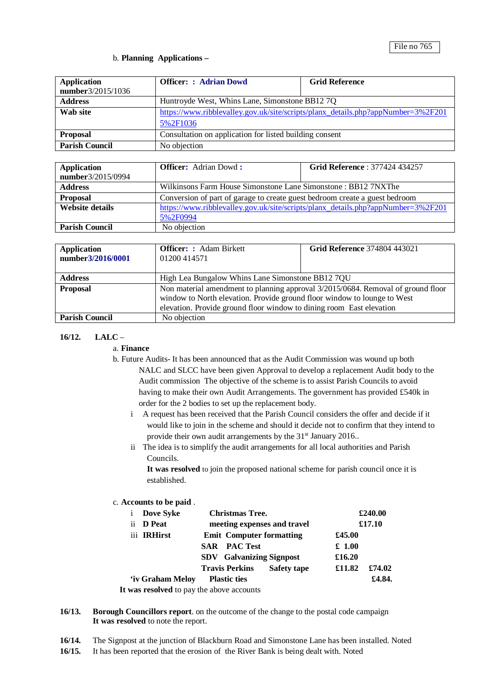# b. **Planning Applications –**

| <b>Application</b><br>number3/2015/1036 | <b>Officer: : Adrian Dowd</b>                                                                | <b>Grid Reference</b> |  |  |
|-----------------------------------------|----------------------------------------------------------------------------------------------|-----------------------|--|--|
| <b>Address</b>                          | Huntroyde West, Whins Lane, Simonstone BB12 7Q                                               |                       |  |  |
| Wab site                                | https://www.ribblevalley.gov.uk/site/scripts/planx_details.php?appNumber=3%2F201<br>5%2F1036 |                       |  |  |
| <b>Proposal</b>                         | Consultation on application for listed building consent                                      |                       |  |  |
| <b>Parish Council</b>                   | No objection                                                                                 |                       |  |  |

| <b>Application</b>     | <b>Officer:</b> Adrian Dowd:                                                     | <b>Grid Reference: 377424 434257</b> |  |  |
|------------------------|----------------------------------------------------------------------------------|--------------------------------------|--|--|
| number3/2015/0994      |                                                                                  |                                      |  |  |
| <b>Address</b>         | Wilkinsons Farm House Simonstone Lane Simonstone : BB12 7NXThe                   |                                      |  |  |
| <b>Proposal</b>        | Conversion of part of garage to create guest bedroom create a guest bedroom      |                                      |  |  |
| <b>Website details</b> | https://www.ribblevalley.gov.uk/site/scripts/planx_details.php?appNumber=3%2F201 |                                      |  |  |
|                        | 5%2F0994                                                                         |                                      |  |  |
| <b>Parish Council</b>  | No objection                                                                     |                                      |  |  |

| <b>Application</b><br>number3/2016/0001 | <b>Officer:</b> : Adam Birkett<br>01200414571                                                                                                                                                                                        | <b>Grid Reference 374804 443021</b> |  |  |
|-----------------------------------------|--------------------------------------------------------------------------------------------------------------------------------------------------------------------------------------------------------------------------------------|-------------------------------------|--|--|
| <b>Address</b>                          | High Lea Bungalow Whins Lane Simonstone BB12 7QU                                                                                                                                                                                     |                                     |  |  |
| <b>Proposal</b>                         | Non material amendment to planning approval 3/2015/0684. Removal of ground floor<br>window to North elevation. Provide ground floor window to lounge to West<br>elevation. Provide ground floor window to dining room East elevation |                                     |  |  |
| <b>Parish Council</b>                   | No objection                                                                                                                                                                                                                         |                                     |  |  |

# **16/12. LALC** –

- a. **Finance**
- b. Future Audits- It has been announced that as the Audit Commission was wound up both NALC and SLCC have been given Approval to develop a replacement Audit body to the Audit commission The objective of the scheme is to assist Parish Councils to avoid having to make their own Audit Arrangements. The government has provided £540k in order for the 2 bodies to set up the replacement body.
	- i A request has been received that the Parish Council considers the offer and decide if it would like to join in the scheme and should it decide not to confirm that they intend to provide their own audit arrangements by the 31<sup>st</sup> January 2016..
	- ii The idea is to simplify the audit arrangements for all local authorities and Parish Councils.

**It was resolved** to join the proposed national scheme for parish council once it is established.

#### c. **Accounts to be paid** .

| Dove Syke<br>1                            | <b>Christmas Tree.</b>          |                    | £240.00 |        |
|-------------------------------------------|---------------------------------|--------------------|---------|--------|
| <b>D</b> Peat<br>$\overline{11}$          | meeting expenses and travel     |                    | £17.10  |        |
| iii IRHirst                               | <b>Emit Computer formatting</b> |                    | £45.00  |        |
|                                           | <b>SAR</b> PAC Test             |                    | £1.00   |        |
|                                           | <b>SDV</b> Galvanizing Signpost |                    | £16.20  |        |
|                                           | <b>Travis Perkins</b>           | <b>Safety tape</b> | £11.82  | £74.02 |
| 'iv Graham Melov                          | <b>Plastic ties</b>             |                    |         | £4.84. |
| It was resolved to pay the above accounts |                                 |                    |         |        |

**16/13. Borough Councillors report**. on the outcome of the change to the postal code campaign **It was resolved** to note the report.

- **16/14.** The Signpost at the junction of Blackburn Road and Simonstone Lane has been installed. Noted
- **16/15.** It has been reported that the erosion of the River Bank is being dealt with. Noted